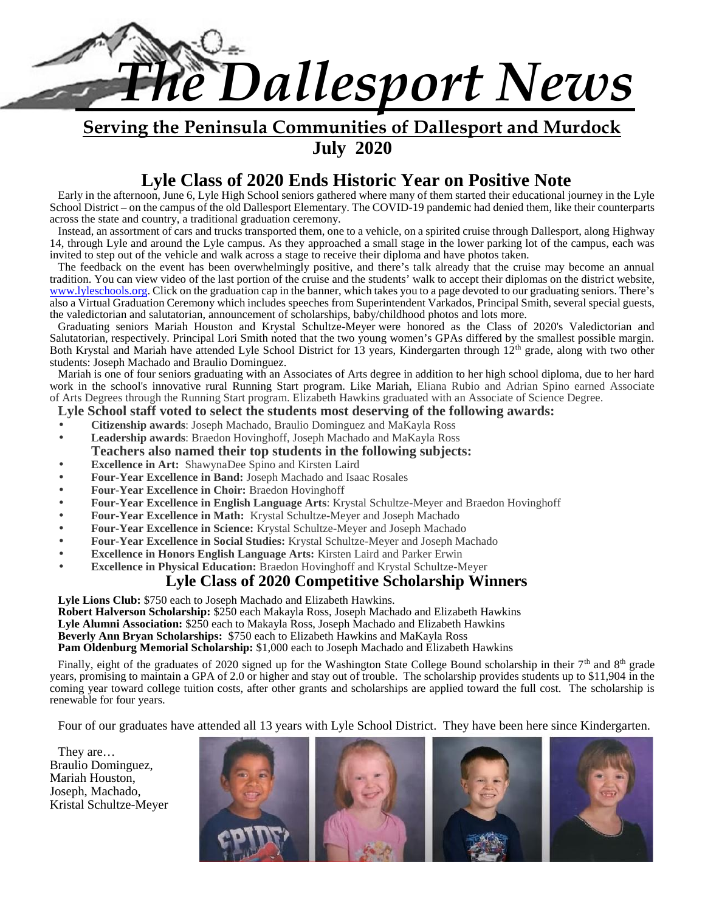

**Serving the Peninsula Communities of Dallesport and Murdock July 2020**

# **Lyle Class of 2020 Ends Historic Year on Positive Note**

Early in the afternoon, June 6, Lyle High School seniors gathered where many of them started their educational journey in the Lyle School District – on the campus of the old Dallesport Elementary. The COVID-19 pandemic had denied them, like their counterparts across the state and country, a traditional graduation ceremony.

Instead, an assortment of cars and trucks transported them, one to a vehicle, on a spirited cruise through Dallesport, along Highway 14, through Lyle and around the Lyle campus. As they approached a small stage in the lower parking lot of the campus, each was invited to step out of the vehicle and walk across a stage to receive their diploma and have photos taken.

The feedback on the event has been overwhelmingly positive, and there's talk already that the cruise may become an annual tradition. You can view video of the last portion of the cruise and the students' walk to accept their diplomas on the district website, www.lyleschools.org. Click on the graduation cap in the banner, which takes you to a page devoted to our graduating seniors. There's also a Virtual Graduation Ceremony which includes speeches from Superintendent Varkados, Principal Smith, several special guests, the valedictorian and salutatorian, announcement of scholarships, baby/childhood photos and lots more.

Graduating seniors Mariah Houston and Krystal Schultze-Meyer were honored as the Class of 2020's Valedictorian and Salutatorian, respectively. Principal Lori Smith noted that the two young women's GPAs differed by the smallest possible margin. Both Krystal and Mariah have attended Lyle School District for 13 years, Kindergarten through  $12<sup>th</sup>$  grade, along with two other students: Joseph Machado and Braulio Dominguez.

Mariah is one of four seniors graduating with an Associates of Arts degree in addition to her high school diploma, due to her hard work in the school's innovative rural Running Start program. Like Mariah, Eliana Rubio and Adrian Spino earned Associate of Arts Degrees through the Running Start program. Elizabeth Hawkins graduated with an Associate of Science Degree.

# **Lyle School staff voted to select the students most deserving of the following awards:**

**Citizenship awards**: Joseph Machado, Braulio Dominguez and MaKayla Ross

**Leadership awards**: Braedon Hovinghoff, Joseph Machado and MaKayla Ross

#### **Teachers also named their top students in the following subjects:**

- **Excellence in Art:** ShawynaDee Spino and Kirsten Laird
- **Four-Year Excellence in Band:** Joseph Machado and Isaac Rosales
- **Four-Year Excellence in Choir:** Braedon Hovinghoff
- **Four-Year Excellence in English Language Arts**: Krystal Schultze-Meyer and Braedon Hovinghoff
- **Four-Year Excellence in Math:** Krystal Schultze-Meyer and Joseph Machado
- **Four-Year Excellence in Science:** Krystal Schultze-Meyer and Joseph Machado
- **Four-Year Excellence in Social Studies:** Krystal Schultze-Meyer and Joseph Machado
- **Excellence in Honors English Language Arts:** Kirsten Laird and Parker Erwin
- **Excellence in Physical Education:** Braedon Hovinghoff and Krystal Schultze-Meyer

# **Lyle Class of 2020 Competitive Scholarship Winners**

**Lyle Lions Club:** \$750 each to Joseph Machado and Elizabeth Hawkins.

**Robert Halverson Scholarship:** \$250 each Makayla Ross, Joseph Machado and Elizabeth Hawkins

**Lyle Alumni Association:** \$250 each to Makayla Ross, Joseph Machado and Elizabeth Hawkins

**Beverly Ann Bryan Scholarships:** \$750 each to Elizabeth Hawkins and MaKayla Ross

**Pam Oldenburg Memorial Scholarship:** \$1,000 each to Joseph Machado and Elizabeth Hawkins

Finally, eight of the graduates of 2020 signed up for the Washington State College Bound scholarship in their 7<sup>th</sup> and 8<sup>th</sup> grade years, promising to maintain a GPA of 2.0 or higher and stay out of trouble. The scholarship provides students up to \$11,904 in the coming year toward college tuition costs, after other grants and scholarships are applied toward the full cost. The scholarship is renewable for four years.

Four of our graduates have attended all 13 years with Lyle School District. They have been here since Kindergarten.

They are… Braulio Dominguez, Mariah Houston, Joseph, Machado, Kristal Schultze-Meyer

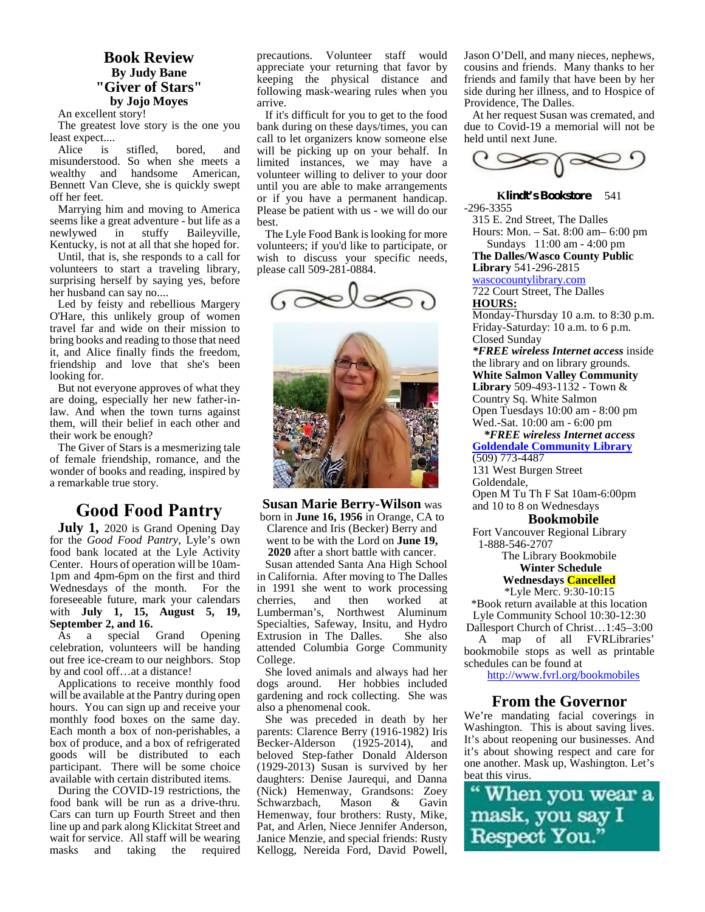# **Book Review By Judy Bane "Giver of Stars" by Jojo Moyes**

An excellent story!

The greatest love story is the one you least expect....

Alice is stifled, bored, and misunderstood. So when she meets a wealthy and handsome American, Bennett Van Cleve, she is quickly swept off her feet.

Marrying him and moving to America seems like a great adventure - but life as a newlywed in stuffy Baileyville, Kentucky, is not at all that she hoped for.

Until, that is, she responds to a call for volunteers to start a traveling library, surprising herself by saying yes, before her husband can say no....

Led by feisty and rebellious Margery O'Hare, this unlikely group of women travel far and wide on their mission to bring books and reading to those that need it, and Alice finally finds the freedom, friendship and love that she's been looking for.

But not everyone approves of what they are doing, especially her new father-inlaw. And when the town turns against them, will their belief in each other and their work be enough?

The Giver of Stars is a mesmerizing tale of female friendship, romance, and the wonder of books and reading, inspired by a remarkable true story.

# **Good Food Pantry**

**July 1,** 2020 is Grand Opening Day for the *Good Food Pantry*, Lyle's own food bank located at the Lyle Activity Center. Hours of operation will be 10am- 1pm and 4pm-6pm on the first and third Wednesdays of the month. For the foreseeable future, mark your calendars with **July 1, 15, August 5, 19, September 2, and 16.**<br>As a special Grand

As a special Grand Opening celebration, volunteers will be handing out free ice-cream to our neighbors. Stop by and cool off…at a distance!

Applications to receive monthly food dogs around. will be available at the Pantry during open hours. You can sign up and receive your monthly food boxes on the same day. Each month a box of non-perishables, a box of produce, and a box of refrigerated goods will be distributed to each participant. There will be some choice available with certain distributed items.

During the COVID-19 restrictions, the food bank will be run as a drive-thru. Cars can turn up Fourth Street and then line up and park along Klickitat Street and wait for service. All staff will be wearing masks and taking the required precautions. Volunteer staff would appreciate your returning that favor by keeping the physical distance and following mask-wearing rules when you arrive.

If it's difficult for you to get to the food bank during on these days/times, you can call to let organizers know someone else will be picking up on your behalf. In limited instances, we may have a volunteer willing to deliver to your door until you are able to make arrangements or if you have a permanent handicap. Please be patient with us - we will do our best.

The Lyle Food Bank is looking for more volunteers; if you'd like to participate, or wish to discuss your specific needs, please call 509-281-0884.





**Susan Marie Berry-Wilson** was born in **June 16, 1956** in Orange, CA to Clarence and Iris (Becker) Berry and went to be with the Lord on **June 19, 2020** after a short battle with cancer.

Susan attended Santa Ana High School in California. After moving to The Dalles in 1991 she went to work processing<br>cherries, and then worked at worked at Lumberman's, Northwest Aluminum Specialties, Safeway, Insitu, and Hydro Extrusion in The Dalles. She also attended Columbia Gorge Community College.

She loved animals and always had her Her hobbies included gardening and rock collecting. She was also a phenomenal cook.

She was preceded in death by her parents: Clarence Berry (1916-1982) Iris Becker-Alderson (1925-2014), and beloved Step-father Donald Alderson (1929-2013) Susan is survived by her daughters: Denise Jaurequi, and Danna<br>(Nick) Hemenway, Grandsons: Zoey<br>Schwarzbach Mason & Gavin (Nick) Hemenway, Grandsons: Zoey Schwarzbach, Mason & Gavin<br>Hemenway, four brothers: Rusty, Mike, **mask, you say I** Hemenway, four brothers: Rusty, Mike, Pat, and Arlen, Niece Jennifer Anderson, Janice Menzie, and special friends: Rusty Respect You." Kellogg, Nereida Ford, David Powell,

Jason O'Dell, and many nieces, nephews, cousins and friends. Many thanks to her friends and family that have been by her side during her illness, and to Hospice of Providence, The Dalles.

At her request Susan was cremated, and due to Covid-19 a memorial will not be held until next June.



**Klindt's Bookstore** 541 -296-3355

315 E. 2nd Street, The Dalles Hours: Mon. – Sat.8:00 am– 6:00 pm Sundays 11:00 am - 4:00 pm

**The Dalles/Wasco County Public Library** 541-296-2815

wascocountylibrary.com 722 Court Street, The Dalles **HOURS:**

Monday-Thursday 10 a.m. to 8:30 p.m. Friday-Saturday: 10 a.m. to 6 p.m. Closed Sunday

*\*FREE wireless Internet access* inside the library and on library grounds. **White Salmon Valley Community Library** 509-493-1132 - Town & Country Sq. White Salmon Open Tuesdays 10:00 am - 8:00 pm Wed.-Sat. 10:00 am - 6:00 pm

*\*FREE wireless Internet access* **Goldendale Community Library** (509) 773-4487

131 West Burgen Street Goldendale, Open M Tu Th F Sat 10am-6:00pm and 10 to 8 on Wednesdays

#### **Bookmobile**

Fort Vancouver Regional Library 1-888-546-2707

> The Library Bookmobile **Winter Schedule**

**Wednesdays Cancelled**

\*Lyle Merc. 9:30-10:15 \*Book return available at this location Lyle Community School 10:30-12:30 Dallesport Church of Christ…1:45–3:00

A map of all FVRLibraries' bookmobile stops as well as printable schedules can be found at

http://www.fvrl.org/bookmobiles

# **From the Governor**

We're mandating facial coverings in Washington. This is about saving lives. It's about reopening our businesses. And it's about showing respect and care for one another. Mask up, Washington. Let's beat this virus.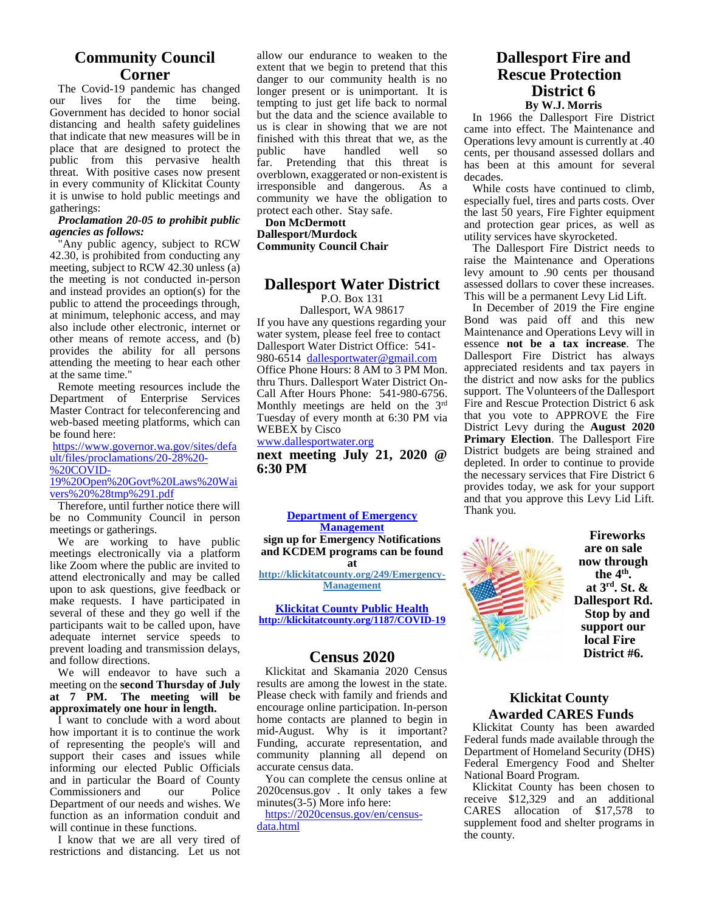# **Community Council Corner**

The Covid-19 pandemic has changed our lives for the time being. Government has decided to honor social distancing and health safety guidelines that indicate that new measures will be in place that are designed to protect the public public from this pervasive health threat. With positive cases now present in every community of Klickitat County it is unwise to hold public meetings and gatherings:

#### *Proclamation 20-05 to prohibit public agencies as follows:*

"Any public agency, subject to RCW 42.30, is prohibited from conducting any meeting, subject to RCW 42.30 unless (a) the meeting is not conducted in-person and instead provides an option(s) for the public to attend the proceedings through, at minimum, telephonic access, and may also include other electronic, internet or other means of remote access, and (b) provides the ability for all persons attending the meeting to hear each other at the same time."

Remote meeting resources include the Department of Enterprise Services Master Contract for teleconferencing and web-based meeting platforms, which can be found here:

https://www.governor.wa.gov/sites/defa ult/files/proclamations/20-28%20- %20COVID- 19%20Open%20Govt%20Laws%20Wai vers%20%28tmp%291.pdf

Therefore, until further notice there will be no Community Council in person meetings or gatherings.

We are working to have public meetings electronically via a platform like Zoom where the public are invited to attend electronically and may be called upon to ask questions, give feedback or make requests. I have participated in several of these and they go well if the participants wait to be called upon, have adequate internet service speeds to prevent loading and transmission delays, and follow directions.

We will endeavor to have such a meeting on the **second Thursday of July at 7 PM. The meeting will be approximately one hour in length.**

I want to conclude with a word about how important it is to continue the work of representing the people's will and support their cases and issues while informing our elected Public Officials and in particular the Board of County<br>Commissioners and our Police Commissioners and Department of our needs and wishes. We function as an information conduit and will continue in these functions.

I know that we are all very tired of restrictions and distancing. Let us not allow our endurance to weaken to the extent that we begin to pretend that this danger to our community health is no longer present or is unimportant. It is tempting to just get life back to normal but the data and the science available to us is clear in showing that we are not finished with this threat that we, as the nublic have handled well so have handled far. Pretending that this threat is overblown, exaggerated or non-existent is irresponsible and dangerous. As a community we have the obligation to protect each other. Stay safe.

**Don McDermott Dallesport/Murdock Community Council Chair**

#### **Dallesport Water District** P.O. Box 131

Dallesport, WA 98617 If you have any questions regarding your water system, please feel free to contact Dallesport Water District Office: 541- 980-6514 dallesportwater@gmail.com Office Phone Hours: 8 AM to 3 PM Mon. thru Thurs. Dallesport Water District On- Call After Hours Phone: 541-980-6756. Monthly meetings are held on the 3rd Tuesday of every month at 6:30 PM via WEBEX by Cisco

#### www.dallesportwater.org

**next meeting July 21, 2020 @ 6:30 PM**

**Department of Emergency Management sign up for Emergency Notifications and KCDEM programs can be found at http://klickitatcounty.org/249/Emergency- Management**

**Klickitat County Public Health**

**http://klickitatcounty.org/1187/COVID-19**

# **Census 2020**

Klickitat and Skamania 2020 Census results are among the lowest in the state. Please check with family and friends and encourage online participation. In-person home contacts are planned to begin in mid-August. Why is it important? Funding, accurate representation, and community planning all depend on accurate census data.

You can complete the census online at 2020census.gov . It only takes a few minutes $(3-5)$  More info here:

https://2020census.gov/en/census data.html

# **Dallesport Fire and Rescue Protection District 6 By W.J. Morris**

In 1966 the Dallesport Fire District came into effect. The Maintenance and Operations levy amount is currently at .40 cents, per thousand assessed dollars and has been at this amount for several decades.

While costs have continued to climb, especially fuel, tires and parts costs. Over the last 50 years, Fire Fighter equipment and protection gear prices, as well as utility services have skyrocketed.

The Dallesport Fire District needs to raise the Maintenance and Operations levy amount to .90 cents per thousand assessed dollars to cover these increases. This will be a permanent Levy Lid Lift.

In December of 2019 the Fire engine Bond was paid off and this new Maintenance and Operations Levy will in essence **not be a tax increase**. The Dallesport Fire District has always appreciated residents and tax payers in the district and now asks for the publics support. The Volunteers of the Dallesport Fire and Rescue Protection District 6 ask that you vote to APPROVE the Fire District Levy during the **August 2020 Primary Election**. The Dallesport Fire District budgets are being strained and depleted. In order to continue to provide the necessary services that Fire District 6 provides today, we ask for your support and that you approve this Levy Lid Lift. Thank you.



**Fireworks are on sale now through the 4th . at 3 rd . St. & Dallesport Rd. Stop by and support our local Fire District #6.**

# **Klickitat County Awarded CARES Funds**

Klickitat County has been awarded Federal funds made available through the Department of Homeland Security (DHS) Federal Emergency Food and Shelter National Board Program.

Klickitat County has been chosen to receive \$12,329 and an additional CARES allocation of \$17,578 to supplement food and shelter programs in the county.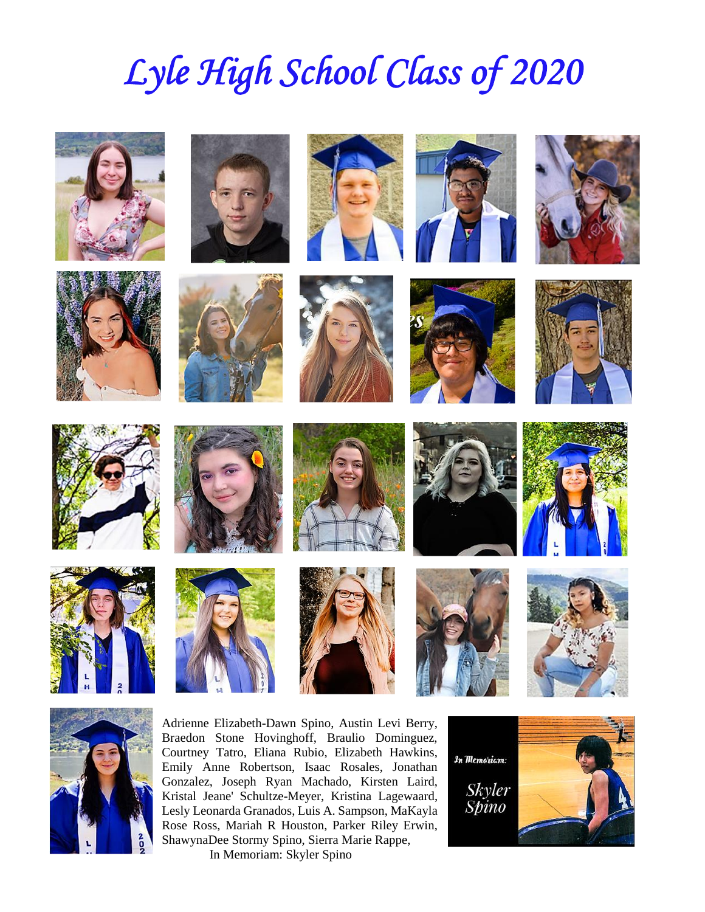# *Lyle High School Class of 2020*









































Adrienne Elizabeth-Dawn Spino, Austin Levi Berry, Braedon Stone Hovinghoff, Braulio Dominguez, Courtney Tatro, Eliana Rubio, Elizabeth Hawkins,  $\int_{\mathcal{H}} m_{\text{Emolian}}$ Emily Anne Robertson, Isaac Rosales, Jonathan Gonzalez, Joseph Ryan Machado, Kirsten Laird, Kristal Jeane' Schultze-Meyer, Kristina Lagewaard, Gonzalez, Joseph Ryan Machado, Kirsten Laird,<br>Kristal Jeane' Schultze-Meyer, Kristina Lagewaard, Skyler<br>Lesly Leonarda Granados, Luis A. Sampson, MaKayla Spino Rose Ross, Mariah R Houston, Parker Riley Erwin, ShawynaDee Stormy Spino, Sierra Marie Rappe, In Memoriam: Skyler Spino

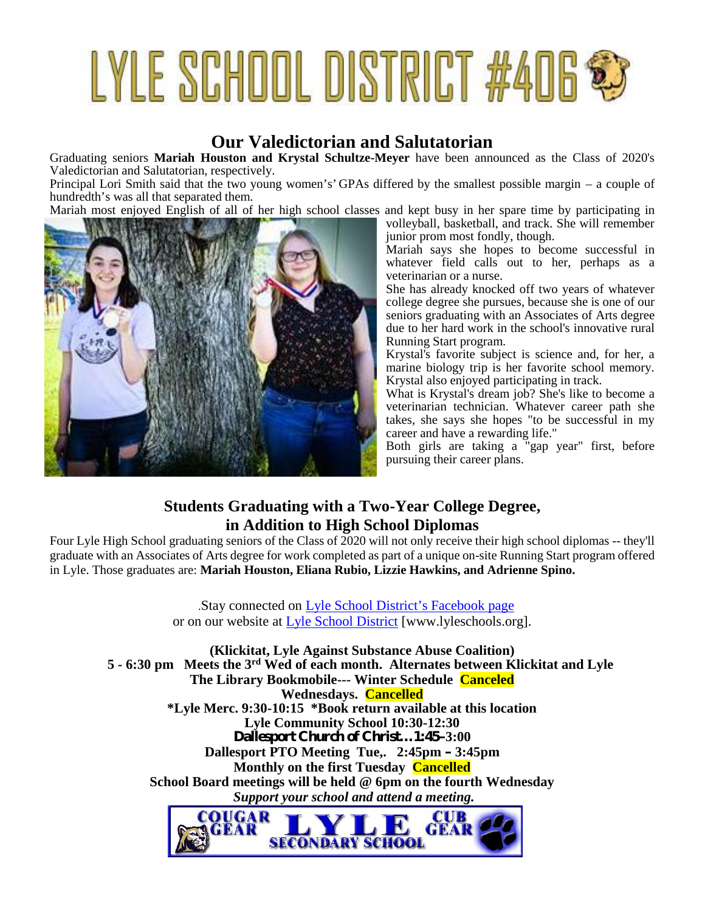# LYLE SCHOOL DISTRICT #406 \$

# **Our Valedictorian and Salutatorian**

Graduating seniors **Mariah Houston and Krystal Schultze-Meyer** have been announced as the Class of 2020's Valedictorian and Salutatorian, respectively.

Principal Lori Smith said that the two young women's' GPAs differed by the smallest possible margin – a couple of hundredth's was all that separated them.

Mariah most enjoyed English of all of her high school classes and kept busy in her spare time by participating in



volleyball, basketball, and track. She will remember junior prom most fondly, though.

Mariah says she hopes to become successful in whatever field calls out to her, perhaps as a veterinarian or a nurse.

She has already knocked off two years of whatever college degree she pursues, because she is one of our seniors graduating with an Associates of Arts degree due to her hard work in the school's innovative rural Running Start program.

Krystal's favorite subject is science and, for her, a marine biology trip is her favorite school memory. Krystal also enjoyed participating in track.

What is Krystal's dream job? She's like to become a veterinarian technician. Whatever career path she takes, she says she hopes "to be successful in my career and have a rewarding life."

Both girls are taking a "gap year" first, before pursuing their career plans.

# **Students Graduating with a Two-Year College Degree, in Addition to High School Diplomas**

Four Lyle High School graduating seniors of the Class of 2020 will not only receive their high school diplomas -- they'll graduate with an Associates of Arts degree for work completed as part of a unique on-site Running Start program offered in Lyle. Those graduates are: **Mariah Houston, Eliana Rubio, Lizzie Hawkins, and Adrienne Spino.**

> .Stay connected on Lyle School District's Facebook page or on our website at Lyle School District [www.lyleschools.org].

**(Klickitat, Lyle Against Substance Abuse Coalition) 5 - 6:30 pm Meets the 3rd Wed of each month. Alternates between Klickitat and Lyle The Library Bookmobile--- Winter Schedule Canceled Wednesdays. Cancelled \*Lyle Merc. 9:30-10:15 \*Book return available at this location Lyle Community School 10:30-12:30 Dallesport Church of Christ…1:45–3:00 Dallesport PTO Meeting Tue,. 2:45pm – 3:45pm Monthly on the first Tuesday Cancelled School Board meetings will be held @ 6pm on the fourth Wednesday** *Support your school and attend a meeting.*

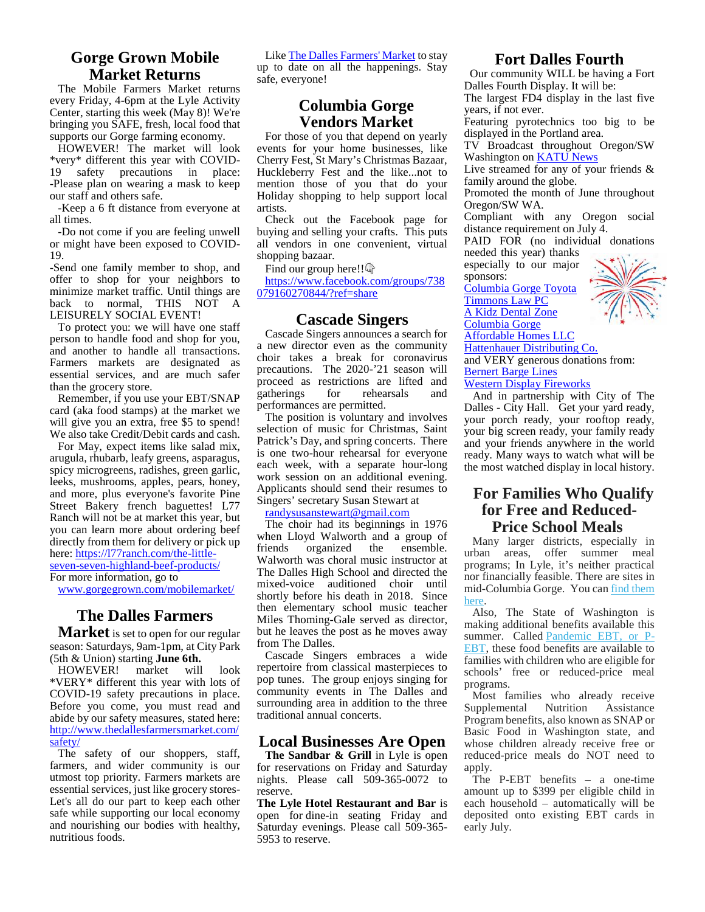# **Gorge Grown Mobile Market Returns**

The Mobile Farmers Market returns every Friday, 4-6pm at the Lyle Activity Center, starting this week (May 8)! We're bringing you SAFE, fresh, local food that supports our Gorge farming economy.

HOWEVER! The market will look \*very\* different this year with COVID- 19 safety precautions in place: -Please plan on wearing a mask to keep our staff and others safe.

-Keep a 6 ft distance from everyone at all times.

-Do not come if you are feeling unwell or might have been exposed to COVID- 19.

-Send one family member to shop, and offer to shop for your neighbors to minimize market traffic. Until things are back to normal, THIS NOT A LEISURELY SOCIAL EVENT!

To protect you: we will have one staff person to handle food and shop for you, and another to handle all transactions. Farmers markets are designated as essential services, and are much safer than the grocery store.

Remember, if you use your EBT/SNAP card (aka food stamps) at the market we will give you an extra, free \$5 to spend! We also take Credit/Debit cards and cash.

For May, expect items like salad mix, arugula, rhubarb, leafy greens, asparagus, spicy microgreens, radishes, green garlic, leeks, mushrooms, apples, pears, honey, and more, plus everyone's favorite Pine Street Bakery french baguettes! L77 Ranch will not be at market this year, but you can learn more about ordering beef directly from them for delivery or pick up  $\frac{\text{Wilen L}}{\text{friends}}$ here: https://l77ranch.com/the-little seven-seven-highland-beef-products/

For more information, go to

www.gorgegrown.com/mobilemarket/

# **The Dalles Farmers**

**Market** is set to open for our regular season: Saturdays, 9am-1pm, at City Park (5th & Union) starting **June 6th.**

HOWEVER! market will look \*VERY\* different this year with lots of COVID-19 safety precautions in place. Before you come, you must read and abide by our safety measures, stated here: http://www.thedallesfarmersmarket.com/ safety/

The safety of our shoppers, staff, farmers, and wider community is our utmost top priority. Farmers markets are essential services, just like grocery stores- Let's all do our part to keep each other safe while supporting our local economy and nourishing our bodies with healthy, nutritious foods.

Like The Dalles Farmers' Market to stay up to date on all the happenings. Stay safe, everyone!

# **Columbia Gorge Vendors Market**

For those of you that depend on yearly events for your home businesses, like Cherry Fest, St Mary's Christmas Bazaar, Huckleberry Fest and the like...not to mention those of you that do your Holiday shopping to help support local artists.

Check out the Facebook page for buying and selling your crafts. This puts all vendors in one convenient, virtual shopping bazaar.

Find our group here!!

https://www.facebook.com/groups/738 079160270844/?ref=share

#### **Cascade Singers**

Cascade Singers announces a search for a new director even as the community choir takes a break for coronavirus precautions. The 2020-'21 season will proceed as restrictions are lifted and gatherings for rehearsals and performances are permitted.

The position is voluntary and involves selection of music for Christmas, Saint Patrick's Day, and spring concerts. There is one two-hour rehearsal for everyone each week, with a separate hour-long work session on an additional evening. Applicants should send their resumes to Singers' secretary Susan Stewart at

randysusanstewart@gmail.com

The choir had its beginnings in 1976 when Lloyd Walworth and a group of<br>friends organized the ensemble. organized the Walworth was choral music instructor at The Dalles High School and directed the mixed-voice auditioned choir until shortly before his death in 2018. Since then elementary school music teacher Miles Thoming-Gale served as director, but he leaves the post as he moves away from The Dalles.

Cascade Singers embraces a wide repertoire from classical masterpieces to pop tunes. The group enjoys singing for community events in The Dalles and surrounding area in addition to the three traditional annual concerts.

# **Local Businesses Are Open**

The Sandbar & Grill in Lyle is open for reservations on Friday and Saturday nights. Please call 509-365-0072 to reserve.

**The Lyle Hotel Restaurant and Bar** is open for dine-in seating Friday and Saturday evenings. Please call 509-365- 5953 to reserve.

# **Fort Dalles Fourth**

Our community WILL be having a Fort Dalles Fourth Display. It will be: The largest FD4 display in the last five

years, if not ever.

Featuring pyrotechnics too big to be displayed in the Portland area.

TV Broadcast throughout Oregon/SW Washington on KATU News

Live streamed for any of your friends & family around the globe.

Promoted the month of June throughout Oregon/SW WA.

Compliant with any Oregon social distance requirement on July 4.

PAID FOR (no individual donations needed this year) thanks

especially to our major

sponsors:

Columbia Gorge Toyota Timmons Law PC

A Kidz Dental Zone

Columbia Gorge



Hattenhauer Distributing Co. and VERY generous donations from: Bernert Barge Lines

Western Display Fireworks

And in partnership with City of The Dalles - City Hall. Get your yard ready, your porch ready, your rooftop ready, your big screen ready, your family ready and your friends anywhere in the world ready. Many ways to watch what will be the most watched display in local history.

# **For Families Who Qualify for Free and Reduced- Price School Meals**

Many larger districts, especially in urban areas, offer summer meal programs; In Lyle, it's neither practical nor financially feasible. There are sites in mid-Columbia Gorge. You can find them here.

Also, The State of Washington is making additional benefits available this summer. Called Pandemic EBT, or P- EBT, these food benefits are available to families with children who are eligible for schools' free or reduced-price meal programs.

Most families who already receive<br>upplemental Nutrition Assistance Supplemental Program benefits, also known as SNAP or Basic Food in Washington state, and whose children already receive free or reduced-price meals do NOT need to apply.

The P-EBT benefits – a one-time amount up to \$399 per eligible child in each household – automatically will be deposited onto existing EBT cards in early July.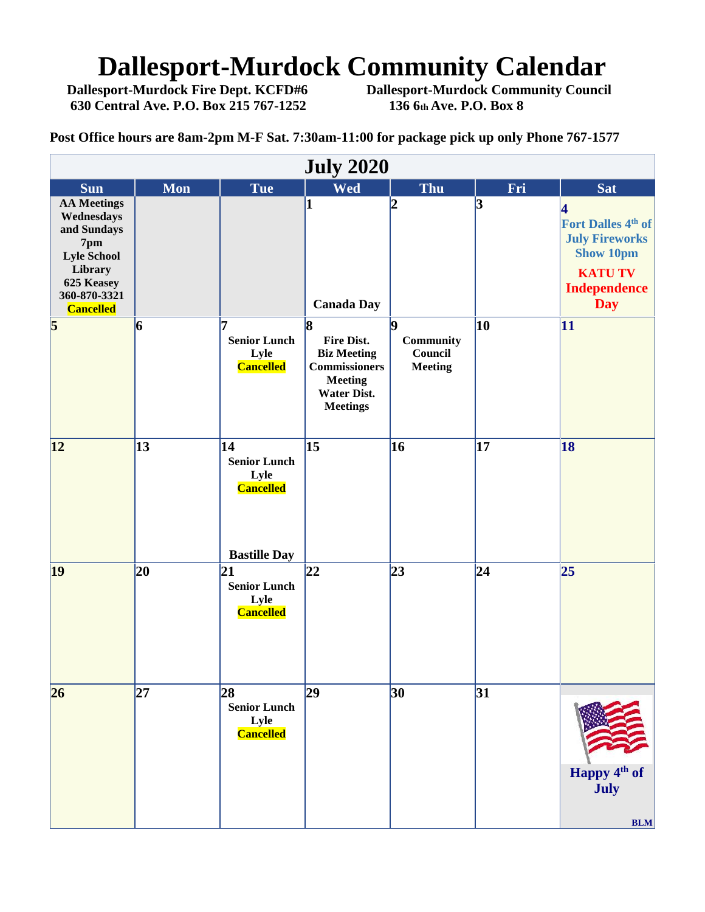# **Dallesport-Murdock Community Calendar**<br>Dallesport-Murdock Fire Dept. KCFD#6 Dallesport-Murdock Community Council

**630 Central Ave. P.O. Box 215 767-1252 136 6th Ave. P.O. Box 8**

**Dallesport-Murdock Community Council** 

**Post Office hours are 8am-2pm M-F Sat. 7:30am-11:00 for package pick up only Phone 767-1577**

|                                                                                                                                           | <b>July 2020</b> |                                                                              |                                                                                                                                  |                                                     |                 |                                                                                                                                  |  |  |
|-------------------------------------------------------------------------------------------------------------------------------------------|------------------|------------------------------------------------------------------------------|----------------------------------------------------------------------------------------------------------------------------------|-----------------------------------------------------|-----------------|----------------------------------------------------------------------------------------------------------------------------------|--|--|
| <b>Sun</b>                                                                                                                                | <b>Mon</b>       | <b>Tue</b>                                                                   | <b>Wed</b>                                                                                                                       | Thu                                                 | Fri             | <b>Sat</b>                                                                                                                       |  |  |
| <b>AA Meetings</b><br>Wednesdays<br>and Sundays<br>7pm<br><b>Lyle School</b><br>Library<br>625 Keasey<br>360-870-3321<br><b>Cancelled</b> |                  |                                                                              | $\bf{1}$<br><b>Canada Day</b>                                                                                                    | $\boldsymbol{2}$                                    | 3               | 4<br>Fort Dalles 4 <sup>th</sup> of<br><b>July Fireworks</b><br><b>Show 10pm</b><br><b>KATU TV</b><br><b>Independence</b><br>Day |  |  |
| $\overline{\mathbf{5}}$                                                                                                                   | 6                | 7<br><b>Senior Lunch</b><br>Lyle<br><b>Cancelled</b>                         | l8<br><b>Fire Dist.</b><br><b>Biz Meeting</b><br><b>Commissioners</b><br><b>Meeting</b><br><b>Water Dist.</b><br><b>Meetings</b> | 19<br><b>Community</b><br>Council<br><b>Meeting</b> | 10              | $\vert$ 11                                                                                                                       |  |  |
| 12                                                                                                                                        | $\overline{13}$  | 14<br><b>Senior Lunch</b><br>Lyle<br><b>Cancelled</b><br><b>Bastille Day</b> | $\overline{15}$                                                                                                                  | 16                                                  | $\overline{17}$ | 18                                                                                                                               |  |  |
| 19                                                                                                                                        | 20               | 21<br><b>Senior Lunch</b><br>Lyle<br><b>Cancelled</b>                        | 22                                                                                                                               | $\overline{23}$                                     | 24              | 25                                                                                                                               |  |  |
| 26                                                                                                                                        | 27               | 28<br><b>Senior Lunch</b><br>Lyle<br><b>Cancelled</b>                        | 29                                                                                                                               | 30                                                  | 31              | Happy 4 <sup>th</sup> of<br>July<br>BLM                                                                                          |  |  |